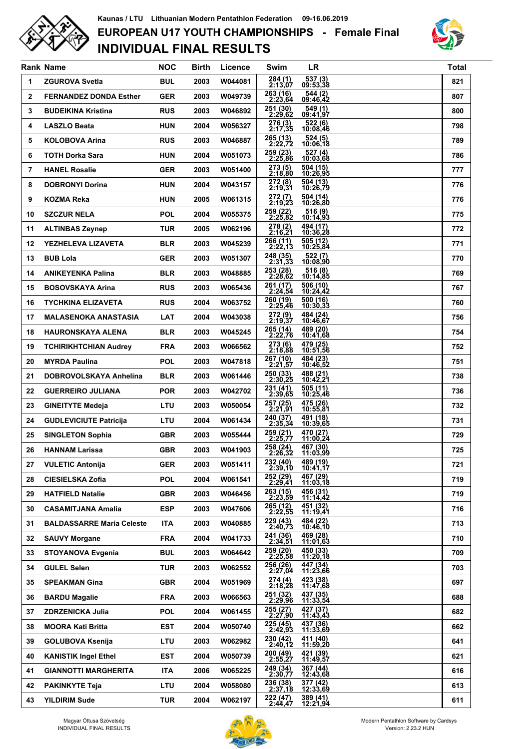

## **INDIVIDUAL FINAL RESULTS EUROPEAN U17 YOUTH CHAMPIONSHIPS - Female Final Kaunas / LTU Lithuanian Modern Pentathlon Federation 09-16.06.2019**



|              | <b>Rank Name</b>                 | <b>NOC</b> | <b>Birth</b> | Licence | Swim                       | <b>LR</b>                         | <b>Total</b> |
|--------------|----------------------------------|------------|--------------|---------|----------------------------|-----------------------------------|--------------|
| 1            | <b>ZGUROVA Svetla</b>            | <b>BUL</b> | 2003         | W044081 | 284 (1)<br>2:13,07         | 537 (3)<br>09:53,38               | 821          |
| $\mathbf{2}$ | <b>FERNANDEZ DONDA Esther</b>    | <b>GER</b> | 2003         | W049739 | 263 (16)<br>2:23,64        | 544 (2)<br>09:46,42               | 807          |
| 3            | <b>BUDEIKINA Kristina</b>        | <b>RUS</b> | 2003         | W046892 | 251 (30)<br>2:29.62        | 549 (1)<br>09:41,97               | 800          |
| 4            | <b>LASZLO Beata</b>              | <b>HUN</b> | 2004         | W056327 | 276 (3)<br><u>2:17,35</u>  | 522 (6)<br>10:08,46               | 798          |
| 5            | <b>KOLOBOVA Arina</b>            | <b>RUS</b> | 2003         | W046887 | 265 (13)<br>2:22,72        | $524(5)$<br>10:06,18              | 789          |
| 6            | <b>TOTH Dorka Sara</b>           | <b>HUN</b> | 2004         | W051073 | 259(23)<br>2:25.86         | 527(4)<br>10:03,68                | 786          |
| 7            | <b>HANEL Rosalie</b>             | <b>GER</b> | 2003         | W051400 | 273(5)<br>2:18.80          | 504 (15)<br>10:26,95              | 777          |
| 8            | <b>DOBRONYI Dorina</b>           | <b>HUN</b> | 2004         | W043157 | 272 (8)<br>2:19,31         | 504 (13)<br>10:26,79              | 776          |
| 9            | <b>KOZMA Reka</b>                | <b>HUN</b> | 2005         | W061315 | 272 (7)<br>2:19,23         | 504 (14)<br>10:26,80              | 776          |
| 10           | <b>SZCZUR NELA</b>               | <b>POL</b> | 2004         | W055375 | 259 (22)<br>2:25,82        | 516 (9)<br>10:14,93               | 775          |
| 11           | <b>ALTINBAS Zeynep</b>           | <b>TUR</b> | 2005         | W062196 | 278 (2)<br>2:16,21         | 494 (17)<br>10:36,28              | 772          |
| 12           | YEZHELEVA LIZAVETA               | <b>BLR</b> | 2003         | W045239 | 266 (11)<br>2:22,13        | 505 (12)<br>10:25.84              | 771          |
| 13           | <b>BUB Lola</b>                  | <b>GER</b> | 2003         | W051307 | 248 (35)<br>2:31,33        | 522 (7)<br>10:08,90               | 770          |
| 14           | <b>ANIKEYENKA Palina</b>         | <b>BLR</b> | 2003         | W048885 | 253 (28)<br>2:28,62        | 516 (8)<br>10:14,85               | 769          |
| 15           | <b>BOSOVSKAYA Arina</b>          | <b>RUS</b> | 2003         | W065436 | 261 (17)<br>2:24,54        | 506 (10)<br>10:24,42              | 767          |
| 16           | <b>TYCHKINA ELIZAVETA</b>        | <b>RUS</b> | 2004         | W063752 | 260 (19)<br>2:25.46        | 500 (16)<br>10:30.33              | 760          |
| 17           | <b>MALASENOKA ANASTASIA</b>      | <b>LAT</b> | 2004         | W043038 | 272 (9)<br>2:19,37         | 484 (24)<br>10:46,67              | 756          |
| 18           | <b>HAURONSKAYA ALENA</b>         | <b>BLR</b> | 2003         | W045245 | 265 (14)<br>2:22,76        | 489 (20)<br>10:41,68              | 754          |
| 19           | <b>TCHIRIKHTCHIAN Audrey</b>     | <b>FRA</b> | 2003         | W066562 | 273 (6)<br>2:18,88         | 479 (25)<br>10:51,56              | 752          |
| 20           | <b>MYRDA Paulina</b>             | <b>POL</b> | 2003         | W047818 | 267 (10)<br>2:21,57        | 484 (23)<br>10:46,52              | 751          |
| 21           | DOBROVOLSKAYA Anhelina           | <b>BLR</b> | 2003         | W061446 | 250 (33)<br>2:30,25        | 488 (21)<br>10:42,21              | 738          |
| 22           | <b>GUERREIRO JULIANA</b>         | <b>POR</b> | 2003         | W042702 | 231 (41)<br>2:39.65        | 505 (11)<br>10:25,46              | 736          |
| 23           | <b>GINEITYTE Medeja</b>          | <b>LTU</b> | 2003         | W050054 | 257(25)<br>2:21.91         | $\overline{475}$ (26)<br>10:55,81 | 732          |
| 24           | <b>GUDLEVICIUTE Patricija</b>    | LTU        | 2004         | W061434 | 240 (37)<br>2:35,34        | 491 (18)<br>10:39.65              | 731          |
| 25           | <b>SINGLETON Sophia</b>          | <b>GBR</b> | 2003         | W055444 | 259 (21)<br>2:25,77        | 470 (27)<br>11:00,24              | 729          |
| 26           | <b>HANNAM Larissa</b>            | <b>GBR</b> | 2003         | W041903 | 258 (24)<br>2:26,32        | 467 (30)<br>11:03,99              | 725          |
| 27           | <b>VULETIC Antonija</b>          | GER        | 2003         | W051411 | 232 (40)<br>2:39,10        | 489 (19)<br>10:41,17              | 721          |
| 28           | <b>CIESIELSKA Zofia</b>          | <b>POL</b> | 2004         | W061541 | 252 (29)<br>2:29,41        | 467 (29)<br>11:03,18              | 719          |
| 29           | <b>HATFIELD Natalie</b>          | <b>GBR</b> | 2003         | W046456 | 263 (15)<br><u>2:23,59</u> | 456 (31)<br>11:14,42              | 719          |
| 30           | <b>CASAMITJANA Amalia</b>        | <b>ESP</b> | 2003         | W047606 | 265 (12)<br>2:22,55        | 451 (32)<br>11:19,41              | 716          |
| 31           | <b>BALDASSARRE Maria Celeste</b> | ITA.       | 2003         | W040885 | 229 (43)<br>2:40,73        | 484 (22)<br>10:46, 10             | 713          |
| 32           | <b>SAUVY Morgane</b>             | <b>FRA</b> | 2004         | W041733 | 241 (36)<br><u>2:34,51</u> | 469 (28)<br>11:01,63              | 710          |
| 33           | <b>STOYANOVA Evgenia</b>         | BUL        | 2003         | W064642 | 259 (20)<br>2:25,58        | 450 (33)<br>11:20.18              | 709          |
| 34           | <b>GULEL Selen</b>               | TUR        | 2003         | W062552 | 256 (26)<br>2:27,04        | 447 (34)<br>11:23,66              | 703          |
| 35           | <b>SPEAKMAN Gina</b>             | <b>GBR</b> | 2004         | W051969 | 274 (4)<br>2:18,28         | 423 (38)<br>11:47,68              | 697          |
| 36           | <b>BARDU Magalie</b>             | <b>FRA</b> | 2003         | W066563 | 251 (32)<br>2:29,96        | 437 (35)<br>11:33,54              | 688          |
| 37           | <b>ZDRZENICKA Julia</b>          | <b>POL</b> | 2004         | W061455 | 255 (27)<br>2:27,90        | 427 (37)<br>11:43,43              | 682          |
| 38           | <b>MOORA Kati Britta</b>         | EST        | 2004         | W050740 | 225 (45)<br>2:42,93        | 437 (36)<br>11:33,69              | 662          |
| 39           | <b>GOLUBOVA Ksenija</b>          | LTU        | 2003         | W062982 | 230 (42)<br>2:40,12        | 411 (40)<br>11:59,20              | 641          |
| 40           | <b>KANISTIK Ingel Ethel</b>      | EST        | 2004         | W050739 | 200 (49)<br>2:55,27        | 421 (39)<br>11:49,57              | 621          |
| 41           | <b>GIANNOTTI MARGHERITA</b>      | ITA.       | 2006         | W065225 | 249 (34)<br>2:30,77        | 367 (44)<br>12:43,68              | 616          |
| 42           | <b>PAKINKYTE Teja</b>            | LTU        | 2004         | W058080 | 236 (38)<br><u>2:37,18</u> | 377 (42)<br>12:33,69              | 613          |
| 43           | <b>YILDIRIM Sude</b>             | TUR        | 2004         | W062197 | 222 (47)<br>2:44,47        | 389 (41)<br>12:21,94              | 611          |